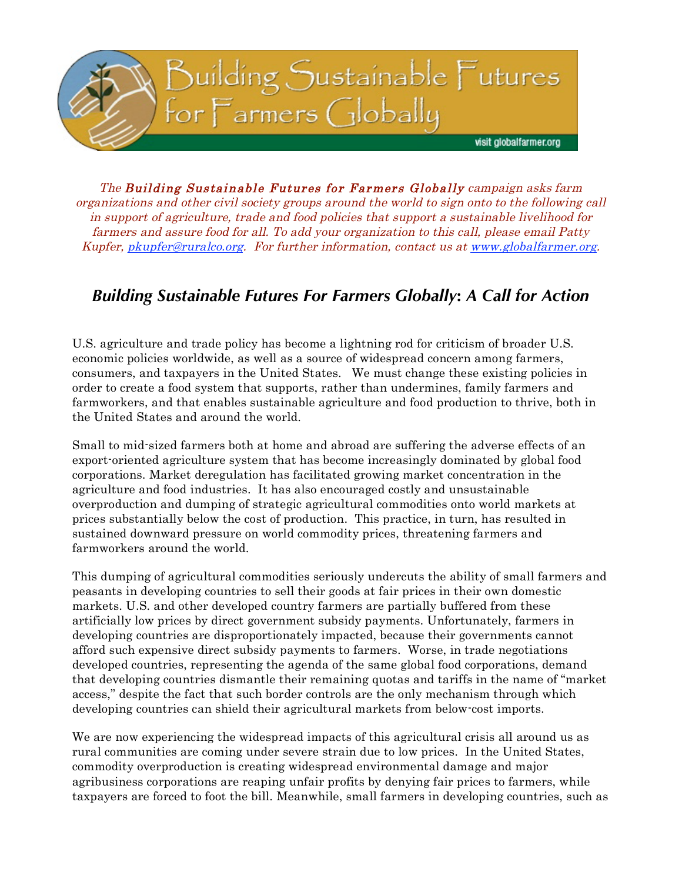

The Building Sustainable Futures for Farmers Globally campaign asks farm organizations and other civil society groups around the world to sign onto to the following call in support of agriculture, trade and food policies that support a sustainable livelihood for farmers and assure food for all. To add your organization to this call, please email Patty Kupfer, pkupfer@ruralco.org. For further information, contact us at www.globalfarmer.org.

## *Building Sustainable Futures For Farmers Globally***:** *A Call for Action*

U.S. agriculture and trade policy has become a lightning rod for criticism of broader U.S. economic policies worldwide, as well as a source of widespread concern among farmers, consumers, and taxpayers in the United States. We must change these existing policies in order to create a food system that supports, rather than undermines, family farmers and farmworkers, and that enables sustainable agriculture and food production to thrive, both in the United States and around the world.

Small to mid-sized farmers both at home and abroad are suffering the adverse effects of an export-oriented agriculture system that has become increasingly dominated by global food corporations. Market deregulation has facilitated growing market concentration in the agriculture and food industries. It has also encouraged costly and unsustainable overproduction and dumping of strategic agricultural commodities onto world markets at prices substantially below the cost of production. This practice, in turn, has resulted in sustained downward pressure on world commodity prices, threatening farmers and farmworkers around the world.

This dumping of agricultural commodities seriously undercuts the ability of small farmers and peasants in developing countries to sell their goods at fair prices in their own domestic markets. U.S. and other developed country farmers are partially buffered from these artificially low prices by direct government subsidy payments. Unfortunately, farmers in developing countries are disproportionately impacted, because their governments cannot afford such expensive direct subsidy payments to farmers. Worse, in trade negotiations developed countries, representing the agenda of the same global food corporations, demand that developing countries dismantle their remaining quotas and tariffs in the name of "market access," despite the fact that such border controls are the only mechanism through which developing countries can shield their agricultural markets from below-cost imports.

We are now experiencing the widespread impacts of this agricultural crisis all around us as rural communities are coming under severe strain due to low prices. In the United States, commodity overproduction is creating widespread environmental damage and major agribusiness corporations are reaping unfair profits by denying fair prices to farmers, while taxpayers are forced to foot the bill. Meanwhile, small farmers in developing countries, such as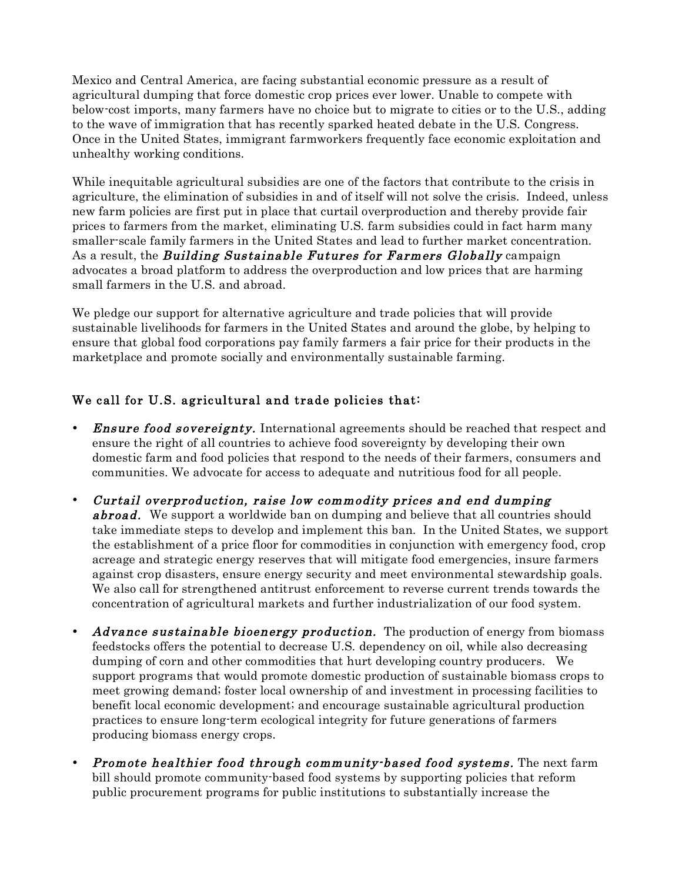Mexico and Central America, are facing substantial economic pressure as a result of agricultural dumping that force domestic crop prices ever lower. Unable to compete with below-cost imports, many farmers have no choice but to migrate to cities or to the U.S., adding to the wave of immigration that has recently sparked heated debate in the U.S. Congress. Once in the United States, immigrant farmworkers frequently face economic exploitation and unhealthy working conditions.

While inequitable agricultural subsidies are one of the factors that contribute to the crisis in agriculture, the elimination of subsidies in and of itself will not solve the crisis. Indeed, unless new farm policies are first put in place that curtail overproduction and thereby provide fair prices to farmers from the market, eliminating U.S. farm subsidies could in fact harm many smaller-scale family farmers in the United States and lead to further market concentration. As a result, the *Building Sustainable Futures for Farmers Globally* campaign advocates a broad platform to address the overproduction and low prices that are harming small farmers in the U.S. and abroad.

We pledge our support for alternative agriculture and trade policies that will provide sustainable livelihoods for farmers in the United States and around the globe, by helping to ensure that global food corporations pay family farmers a fair price for their products in the marketplace and promote socially and environmentally sustainable farming.

## We call for U.S. agricultural and trade policies that:

- **Ensure food sovereignty.** International agreements should be reached that respect and ensure the right of all countries to achieve food sovereignty by developing their own domestic farm and food policies that respond to the needs of their farmers, consumers and communities. We advocate for access to adequate and nutritious food for all people.
- Curtail overproduction, raise low commodity prices and end dumping **abroad.** We support a worldwide ban on dumping and believe that all countries should take immediate steps to develop and implement this ban. In the United States, we support the establishment of a price floor for commodities in conjunction with emergency food, crop acreage and strategic energy reserves that will mitigate food emergencies, insure farmers against crop disasters, ensure energy security and meet environmental stewardship goals. We also call for strengthened antitrust enforcement to reverse current trends towards the concentration of agricultural markets and further industrialization of our food system.
- Advance sustainable bioenergy production. The production of energy from biomass feedstocks offers the potential to decrease U.S. dependency on oil, while also decreasing dumping of corn and other commodities that hurt developing country producers. We support programs that would promote domestic production of sustainable biomass crops to meet growing demand; foster local ownership of and investment in processing facilities to benefit local economic development; and encourage sustainable agricultural production practices to ensure long-term ecological integrity for future generations of farmers producing biomass energy crops.
- **Promote healthier food through community-based food systems.** The next farm bill should promote community-based food systems by supporting policies that reform public procurement programs for public institutions to substantially increase the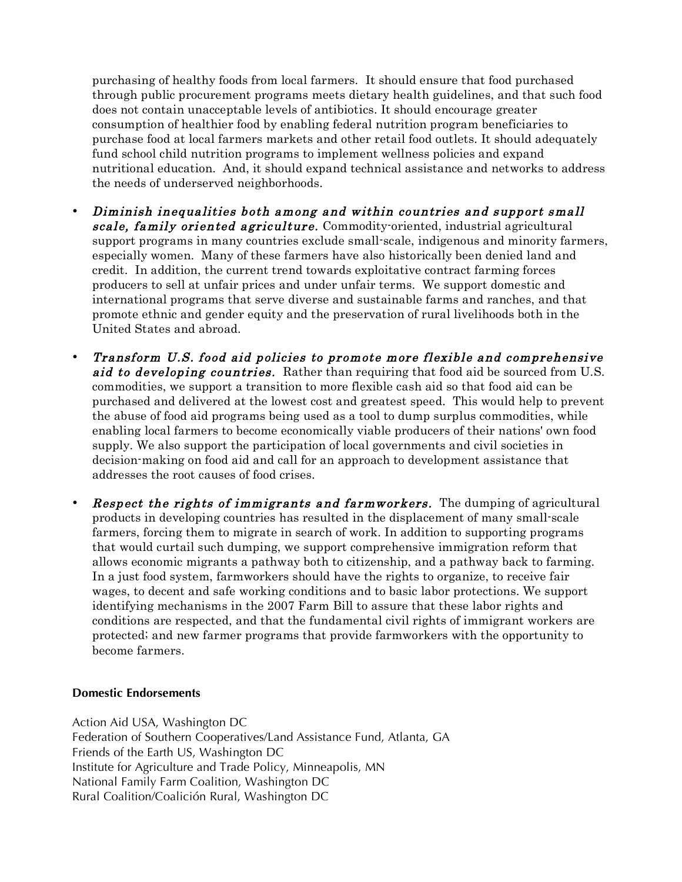purchasing of healthy foods from local farmers. It should ensure that food purchased through public procurement programs meets dietary health guidelines, and that such food does not contain unacceptable levels of antibiotics. It should encourage greater consumption of healthier food by enabling federal nutrition program beneficiaries to purchase food at local farmers markets and other retail food outlets. It should adequately fund school child nutrition programs to implement wellness policies and expand nutritional education. And, it should expand technical assistance and networks to address the needs of underserved neighborhoods.

- Diminish inequalities both among and within countries and support small scale, family oriented agriculture. Commodity-oriented, industrial agricultural support programs in many countries exclude small-scale, indigenous and minority farmers, especially women. Many of these farmers have also historically been denied land and credit. In addition, the current trend towards exploitative contract farming forces producers to sell at unfair prices and under unfair terms. We support domestic and international programs that serve diverse and sustainable farms and ranches, and that promote ethnic and gender equity and the preservation of rural livelihoods both in the United States and abroad.
- Transform U.S. food aid policies to promote more flexible and comprehensive aid to developing countries. Rather than requiring that food aid be sourced from U.S. commodities, we support a transition to more flexible cash aid so that food aid can be purchased and delivered at the lowest cost and greatest speed. This would help to prevent the abuse of food aid programs being used as a tool to dump surplus commodities, while enabling local farmers to become economically viable producers of their nations' own food supply. We also support the participation of local governments and civil societies in decision-making on food aid and call for an approach to development assistance that addresses the root causes of food crises.
- **Respect the rights of immigrants and farmworkers.** The dumping of agricultural products in developing countries has resulted in the displacement of many small-scale farmers, forcing them to migrate in search of work. In addition to supporting programs that would curtail such dumping, we support comprehensive immigration reform that allows economic migrants a pathway both to citizenship, and a pathway back to farming. In a just food system, farmworkers should have the rights to organize, to receive fair wages, to decent and safe working conditions and to basic labor protections. We support identifying mechanisms in the 2007 Farm Bill to assure that these labor rights and conditions are respected, and that the fundamental civil rights of immigrant workers are protected; and new farmer programs that provide farmworkers with the opportunity to become farmers.

## **Domestic Endorsements**

Action Aid USA, Washington DC Federation of Southern Cooperatives/Land Assistance Fund, Atlanta, GA Friends of the Earth US, Washington DC Institute for Agriculture and Trade Policy, Minneapolis, MN National Family Farm Coalition, Washington DC Rural Coalition/Coalición Rural, Washington DC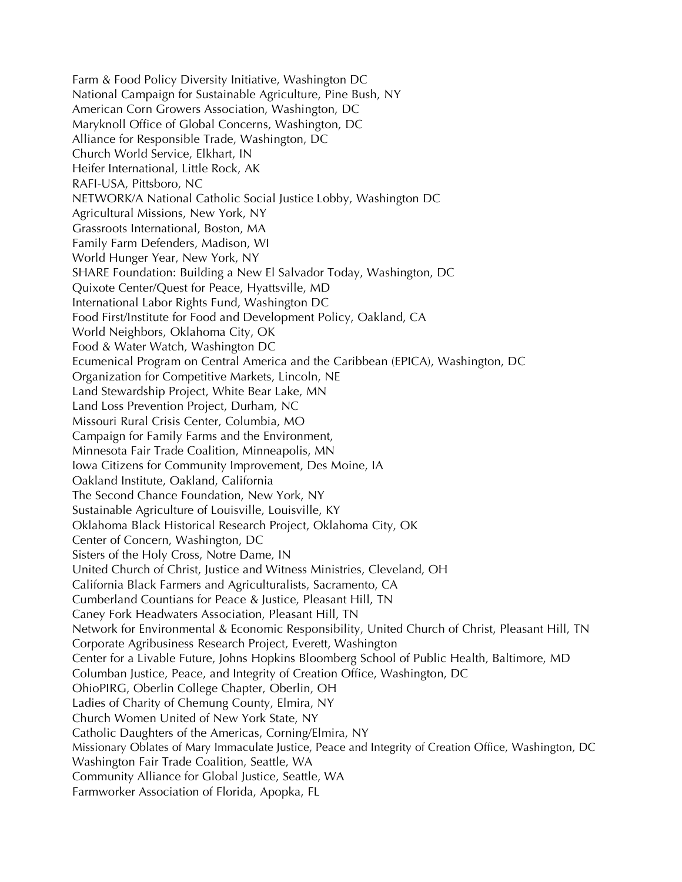Farm & Food Policy Diversity Initiative, Washington DC National Campaign for Sustainable Agriculture, Pine Bush, NY American Corn Growers Association, Washington, DC Maryknoll Office of Global Concerns, Washington, DC Alliance for Responsible Trade, Washington, DC Church World Service, Elkhart, IN Heifer International, Little Rock, AK RAFI-USA, Pittsboro, NC NETWORK/A National Catholic Social Justice Lobby, Washington DC Agricultural Missions, New York, NY Grassroots International, Boston, MA Family Farm Defenders, Madison, WI World Hunger Year, New York, NY SHARE Foundation: Building a New El Salvador Today, Washington, DC Quixote Center/Quest for Peace, Hyattsville, MD International Labor Rights Fund, Washington DC Food First/Institute for Food and Development Policy, Oakland, CA World Neighbors, Oklahoma City, OK Food & Water Watch, Washington DC Ecumenical Program on Central America and the Caribbean (EPICA), Washington, DC Organization for Competitive Markets, Lincoln, NE Land Stewardship Project, White Bear Lake, MN Land Loss Prevention Project, Durham, NC Missouri Rural Crisis Center, Columbia, MO Campaign for Family Farms and the Environment, Minnesota Fair Trade Coalition, Minneapolis, MN Iowa Citizens for Community Improvement, Des Moine, IA Oakland Institute, Oakland, California The Second Chance Foundation, New York, NY Sustainable Agriculture of Louisville, Louisville, KY Oklahoma Black Historical Research Project, Oklahoma City, OK Center of Concern, Washington, DC Sisters of the Holy Cross, Notre Dame, IN United Church of Christ, Justice and Witness Ministries, Cleveland, OH California Black Farmers and Agriculturalists, Sacramento, CA Cumberland Countians for Peace & Justice, Pleasant Hill, TN Caney Fork Headwaters Association, Pleasant Hill, TN Network for Environmental & Economic Responsibility, United Church of Christ, Pleasant Hill, TN Corporate Agribusiness Research Project, Everett, Washington Center for a Livable Future, Johns Hopkins Bloomberg School of Public Health, Baltimore, MD Columban Justice, Peace, and Integrity of Creation Office, Washington, DC OhioPIRG, Oberlin College Chapter, Oberlin, OH Ladies of Charity of Chemung County, Elmira, NY Church Women United of New York State, NY Catholic Daughters of the Americas, Corning/Elmira, NY Missionary Oblates of Mary Immaculate Justice, Peace and Integrity of Creation Office, Washington, DC Washington Fair Trade Coalition, Seattle, WA Community Alliance for Global Justice, Seattle, WA Farmworker Association of Florida, Apopka, FL